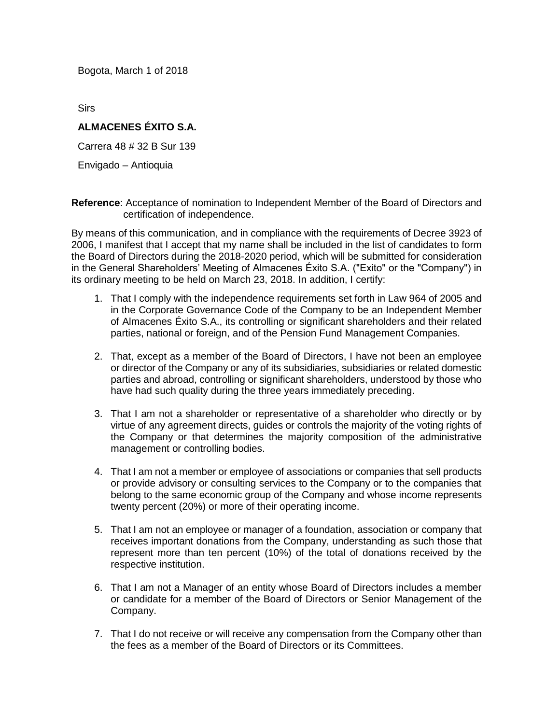Bogota, March 1 of 2018

Sirs

## **ALMACENES ÉXITO S.A.**

Carrera 48 # 32 B Sur 139

Envigado – Antioquia

**Reference**: Acceptance of nomination to Independent Member of the Board of Directors and certification of independence.

By means of this communication, and in compliance with the requirements of Decree 3923 of 2006, I manifest that I accept that my name shall be included in the list of candidates to form the Board of Directors during the 2018-2020 period, which will be submitted for consideration in the General Shareholders' Meeting of Almacenes Éxito S.A. ("Exito" or the "Company") in its ordinary meeting to be held on March 23, 2018. In addition, I certify:

- 1. That I comply with the independence requirements set forth in Law 964 of 2005 and in the Corporate Governance Code of the Company to be an Independent Member of Almacenes Éxito S.A., its controlling or significant shareholders and their related parties, national or foreign, and of the Pension Fund Management Companies.
- 2. That, except as a member of the Board of Directors, I have not been an employee or director of the Company or any of its subsidiaries, subsidiaries or related domestic parties and abroad, controlling or significant shareholders, understood by those who have had such quality during the three years immediately preceding.
- 3. That I am not a shareholder or representative of a shareholder who directly or by virtue of any agreement directs, guides or controls the majority of the voting rights of the Company or that determines the majority composition of the administrative management or controlling bodies.
- 4. That I am not a member or employee of associations or companies that sell products or provide advisory or consulting services to the Company or to the companies that belong to the same economic group of the Company and whose income represents twenty percent (20%) or more of their operating income.
- 5. That I am not an employee or manager of a foundation, association or company that receives important donations from the Company, understanding as such those that represent more than ten percent (10%) of the total of donations received by the respective institution.
- 6. That I am not a Manager of an entity whose Board of Directors includes a member or candidate for a member of the Board of Directors or Senior Management of the Company.
- 7. That I do not receive or will receive any compensation from the Company other than the fees as a member of the Board of Directors or its Committees.